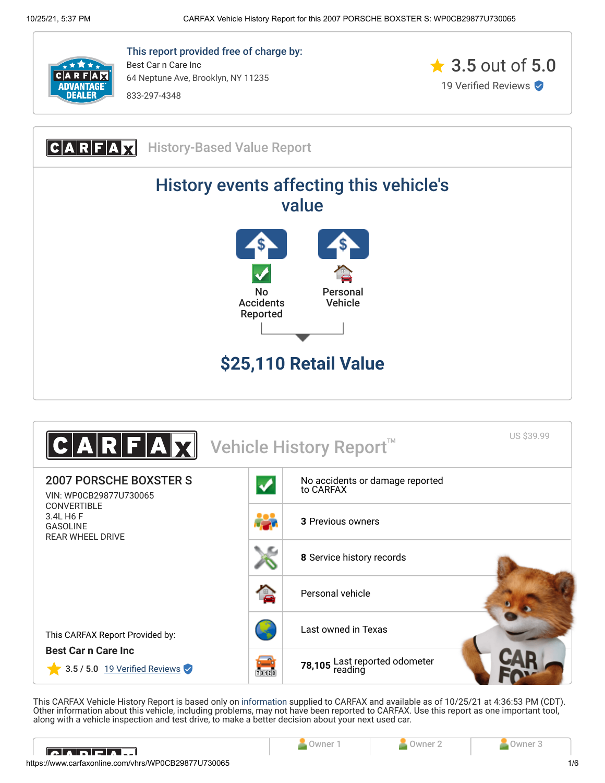

This report provided free of charge by: Best Car n Care Inc 64 Neptune Ave, Brooklyn, NY 11235 833-297-4348



CARFAX History-Based Value Report History events affecting this vehicle's value  $N<sub>0</sub>$ Personal Accidents Vehicle Reported **\$25,110 Retail Value**



This CARFAX Vehicle History Report is based only on [information](http://www.carfax.com/company/vhr-data-sources) supplied to CARFAX and available as of 10/25/21 at 4:36:53 PM (CDT). Other information about this vehicle, including problems, may not have been reported to CARFAX. Use this report as one important tool, along with a vehicle inspection and test drive, to make a better decision about your next used car.

<span id="page-0-0"></span>

| <u>IAINFAM</u>                                      |  |  | uwner . |     |
|-----------------------------------------------------|--|--|---------|-----|
| https://www.carfaxonline.com/vhrs/WP0CB29877U730065 |  |  |         | 1/6 |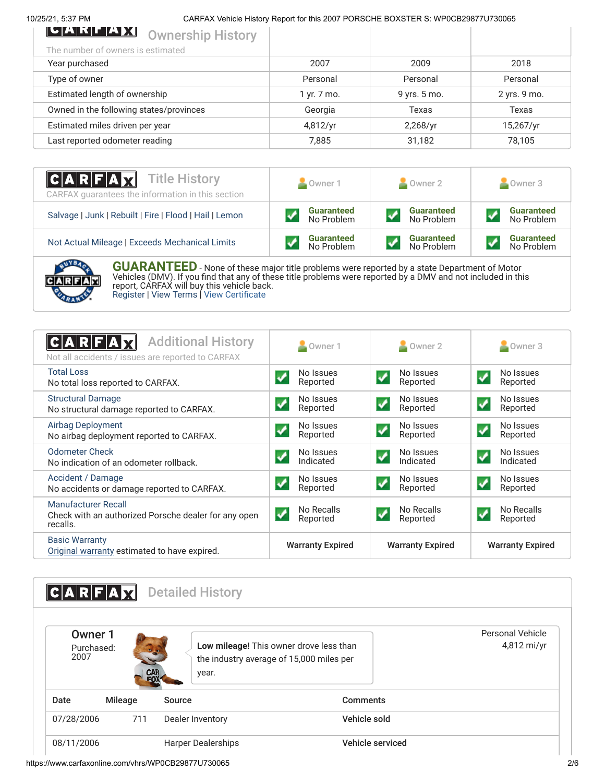## 10/25/21, 5:37 PM CARFAX Vehicle History Report for this 2007 PORSCHE BOXSTER S: WP0CB29877U730065

| LAKLAX<br><b>Ownership History</b>      |             |              |              |
|-----------------------------------------|-------------|--------------|--------------|
| The number of owners is estimated       |             |              |              |
| Year purchased                          | 2007        | 2009         | 2018         |
| Type of owner                           | Personal    | Personal     | Personal     |
| Estimated length of ownership           | 1 yr. 7 mo. | 9 yrs. 5 mo. | 2 yrs. 9 mo. |
| Owned in the following states/provinces | Georgia     | Texas        | Texas        |
| Estimated miles driven per year         | 4,812/yr    | 2,268/yr     | 15,267/yr    |
| Last reported odometer reading          | 7.885       | 31,182       | 78,105       |
|                                         |             |              |              |

| <b>CARFAX</b> Title History<br>CARFAX quarantees the information in this section | Owner 1           | Owner 2           | Owner 3           |
|----------------------------------------------------------------------------------|-------------------|-------------------|-------------------|
| Salvage   Junk   Rebuilt   Fire   Flood   Hail   Lemon                           | <b>Guaranteed</b> | <b>Guaranteed</b> | <b>Guaranteed</b> |
|                                                                                  | No Problem        | No Problem        | No Problem        |
| Not Actual Mileage   Exceeds Mechanical Limits                                   | <b>Guaranteed</b> | <b>Guaranteed</b> | <b>Guaranteed</b> |
|                                                                                  | No Problem        | No Problem        | No Problem        |



**GUARANTEED** - None of these major title problems were reported by a state Department of Motor Vehicles (DMV). If you find that any of these title problems were reported by a DMV and not included in this report, CARFAX will buy this vehicle back. [Register](https://www.carfax.com/Service/bbg) | [View Terms](http://www.carfaxonline.com/legal/bbgTerms) | [View Certificate](https://www.carfaxonline.com/vhrs/WP0CB29877U730065)

<span id="page-1-0"></span>

| <b>Additional History</b><br>C A R F<br>Not all accidents / issues are reported to CARFAX | Owner 1                                        | Owner 2                                             | Owner 3                                           |
|-------------------------------------------------------------------------------------------|------------------------------------------------|-----------------------------------------------------|---------------------------------------------------|
| <b>Total Loss</b><br>No total loss reported to CARFAX.                                    | No Issues<br>$\blacklozenge$<br>Reported       | No Issues<br>✔<br>Reported                          | No Issues<br>$\overline{\mathbf{v}}$<br>Reported  |
| <b>Structural Damage</b><br>No structural damage reported to CARFAX.                      | No Issues<br>Reported                          | No Issues<br>$\boldsymbol{\mathcal{J}}$<br>Reported | No Issues<br>$\boldsymbol{v}$<br>Reported         |
| <b>Airbag Deployment</b><br>No airbag deployment reported to CARFAX.                      | No Issues<br>Reported                          | No Issues<br>$\checkmark$<br>Reported               | No Issues<br>$\overline{\mathcal{L}}$<br>Reported |
| <b>Odometer Check</b><br>No indication of an odometer rollback.                           | No Issues<br>Indicated                         | No Issues<br>$\boldsymbol{J}$<br>Indicated          | No Issues<br>$\boldsymbol{V}$<br>Indicated        |
| Accident / Damage<br>No accidents or damage reported to CARFAX.                           | No Issues<br>Reported                          | No Issues<br>$\blacktriangledown$<br>Reported       | No Issues<br>Reported                             |
| Manufacturer Recall<br>Check with an authorized Porsche dealer for any open<br>recalls.   | No Recalls<br>$\blacktriangledown$<br>Reported | No Recalls<br>$\blacktriangledown$<br>Reported      | No Recalls<br>Reported                            |
| <b>Basic Warranty</b><br>Original warranty estimated to have expired.                     | <b>Warranty Expired</b>                        | <b>Warranty Expired</b>                             | <b>Warranty Expired</b>                           |

<span id="page-1-1"></span>

|                               | ARFAX   |        | <b>Detailed History</b>                                                                      |                  |                                 |
|-------------------------------|---------|--------|----------------------------------------------------------------------------------------------|------------------|---------------------------------|
| Owner 1<br>Purchased:<br>2007 |         | CAR    | Low mileage! This owner drove less than<br>the industry average of 15,000 miles per<br>year. |                  | Personal Vehicle<br>4,812 mi/yr |
| Date                          | Mileage | Source |                                                                                              | <b>Comments</b>  |                                 |
| 07/28/2006                    | 711     |        | Dealer Inventory                                                                             | Vehicle sold     |                                 |
| 08/11/2006                    |         |        | <b>Harper Dealerships</b>                                                                    | Vehicle serviced |                                 |

https://www.carfaxonline.com/vhrs/WP0CB29877U730065 2/6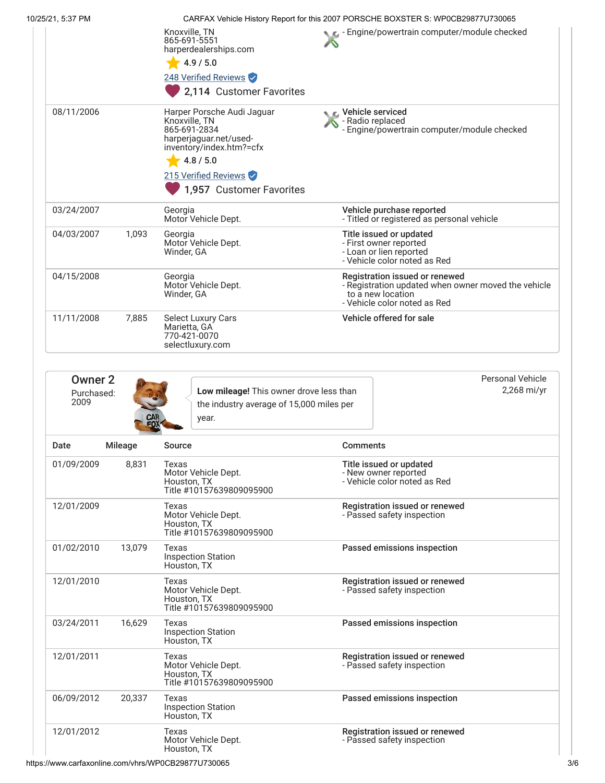| 10/25/21, 5:37 PM |         |                                                                                                                                                                                    |                                          | CARFAX Vehicle History Report for this 2007 PORSCHE BOXSTER S: WP0CB29877U730065                                                           |
|-------------------|---------|------------------------------------------------------------------------------------------------------------------------------------------------------------------------------------|------------------------------------------|--------------------------------------------------------------------------------------------------------------------------------------------|
|                   |         | Knoxville, TN<br>865-691-5551<br>harperdealerships.com<br>4.9 / 5.0<br>248 Verified Reviews<br>2,114 Customer Favorites                                                            |                                          | Engine/powertrain computer/module checked                                                                                                  |
| 08/11/2006        |         | Harper Porsche Audi Jaguar<br>Knoxville, TN<br>865-691-2834<br>harperjaguar.net/used-<br>inventory/index.htm?=cfx<br>4.8 / 5.0<br>215 Verified Reviews<br>1,957 Customer Favorites | ic⊾ Vehicle serviced<br>- Radio replaced | - Engine/powertrain computer/module checked                                                                                                |
| 03/24/2007        |         | Georgia<br>Motor Vehicle Dept.                                                                                                                                                     |                                          | Vehicle purchase reported<br>- Titled or registered as personal vehicle                                                                    |
| 04/03/2007        | 1,093   | Georgia<br>Motor Vehicle Dept.<br>Winder, GA                                                                                                                                       |                                          | Title issued or updated<br>- First owner reported<br>- Loan or lien reported<br>- Vehicle color noted as Red                               |
| 04/15/2008        |         | Georgia<br>Motor Vehicle Dept.<br>Winder, GA                                                                                                                                       |                                          | Registration issued or renewed<br>- Registration updated when owner moved the vehicle<br>to a new location<br>- Vehicle color noted as Red |
| 11/11/2008        | 7,885   | Select Luxury Cars<br>Marietta, GA<br>770-421-0070<br>selectluxury.com                                                                                                             |                                          | Vehicle offered for sale                                                                                                                   |
| 2009              |         | the industry average of 15,000 miles per<br>year.                                                                                                                                  |                                          |                                                                                                                                            |
| Date              | Mileage | Source                                                                                                                                                                             | <b>Comments</b>                          |                                                                                                                                            |
| 01/09/2009        | 8,831   | Texas<br>Motor Vehicle Dept.<br>Houston, TX<br>Title #10157639809095900                                                                                                            |                                          | Title issued or updated<br>- New owner reported<br>- Vehicle color noted as Red                                                            |
| 12/01/2009        |         | Texas<br>Motor Vehicle Dept.<br>Houston, TX<br>Title #10157639809095900                                                                                                            |                                          | Registration issued or renewed<br>- Passed safety inspection                                                                               |
| 01/02/2010        | 13,079  | Texas<br><b>Inspection Station</b><br>Houston, TX                                                                                                                                  |                                          | Passed emissions inspection                                                                                                                |
| 12/01/2010        |         | Texas<br>Motor Vehicle Dept.<br>Houston, TX<br>Title #10157639809095900                                                                                                            |                                          | Registration issued or renewed<br>- Passed safety inspection                                                                               |
| 03/24/2011        | 16,629  | Texas<br><b>Inspection Station</b><br>Houston, TX                                                                                                                                  |                                          | Passed emissions inspection                                                                                                                |
| 12/01/2011        |         | Texas<br>Motor Vehicle Dept.<br>Houston, TX<br>Title #10157639809095900                                                                                                            |                                          | Registration issued or renewed<br>- Passed safety inspection                                                                               |
| 06/09/2012        | 20,337  | Texas<br><b>Inspection Station</b><br>Houston, TX                                                                                                                                  |                                          | Passed emissions inspection                                                                                                                |
| 12/01/2012        |         | Texas<br>Motor Vehicle Dept.<br>Houston, TX                                                                                                                                        |                                          | Registration issued or renewed<br>- Passed safety inspection                                                                               |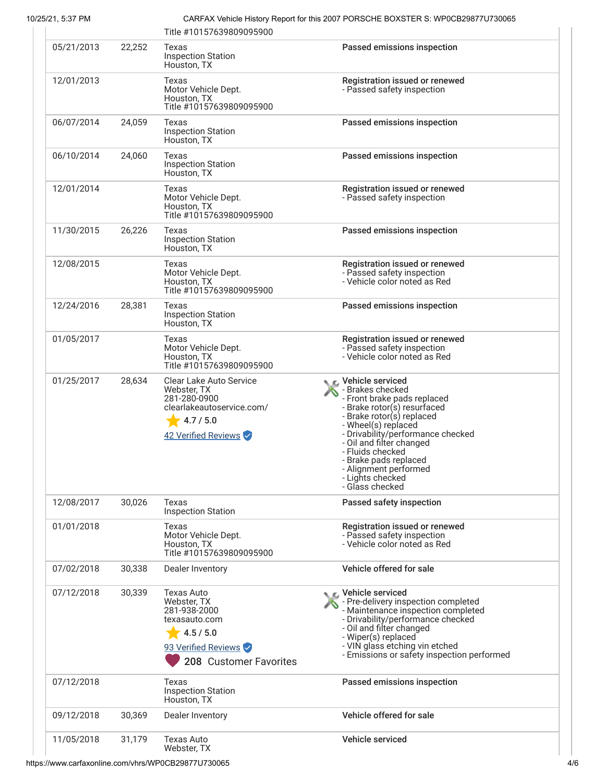10/25/21, 5:37 PM CARFAX Vehicle History Report for this 2007 PORSCHE BOXSTER S: WP0CB29877U730065

|            |        | Title #10157639809095900                                                                                                        |                                                                                                                                                                                                                                                                                                                                        |
|------------|--------|---------------------------------------------------------------------------------------------------------------------------------|----------------------------------------------------------------------------------------------------------------------------------------------------------------------------------------------------------------------------------------------------------------------------------------------------------------------------------------|
| 05/21/2013 | 22,252 | Texas<br><b>Inspection Station</b><br>Houston, TX                                                                               | Passed emissions inspection                                                                                                                                                                                                                                                                                                            |
| 12/01/2013 |        | Texas<br>Motor Vehicle Dept.<br>Houston, TX<br>Title #10157639809095900                                                         | Registration issued or renewed<br>- Passed safety inspection                                                                                                                                                                                                                                                                           |
| 06/07/2014 | 24,059 | Texas<br><b>Inspection Station</b><br>Houston, TX                                                                               | Passed emissions inspection                                                                                                                                                                                                                                                                                                            |
| 06/10/2014 | 24,060 | Texas<br><b>Inspection Station</b><br>Houston, TX                                                                               | Passed emissions inspection                                                                                                                                                                                                                                                                                                            |
| 12/01/2014 |        | Texas<br>Motor Vehicle Dept.<br>Houston, TX<br>Title #10157639809095900                                                         | Registration issued or renewed<br>- Passed safety inspection                                                                                                                                                                                                                                                                           |
| 11/30/2015 | 26,226 | Texas<br><b>Inspection Station</b><br>Houston, TX                                                                               | Passed emissions inspection                                                                                                                                                                                                                                                                                                            |
| 12/08/2015 |        | Texas<br>Motor Vehicle Dept.<br>Houston, TX<br>Title #10157639809095900                                                         | Registration issued or renewed<br>- Passed safety inspection<br>- Vehicle color noted as Red                                                                                                                                                                                                                                           |
| 12/24/2016 | 28,381 | Texas<br><b>Inspection Station</b><br>Houston, TX                                                                               | Passed emissions inspection                                                                                                                                                                                                                                                                                                            |
| 01/05/2017 |        | Texas<br>Motor Vehicle Dept.<br>Houston, TX<br>Title #10157639809095900                                                         | Registration issued or renewed<br>- Passed safety inspection<br>- Vehicle color noted as Red                                                                                                                                                                                                                                           |
| 01/25/2017 | 28,634 | <b>Clear Lake Auto Service</b><br>Webster, TX<br>281-280-0900<br>clearlakeautoservice.com/<br>4.7 / 5.0<br>42 Verified Reviews  | C Vehicle serviced<br>- Brakes checked<br>- Front brake pads replaced<br>- Brake rotor(s) resurfaced<br>- Brake rotor(s) replaced<br>- Wheel(s) replaced<br>- Drivability/performance checked<br>- Oil and filter changed<br>- Fluids checked<br>- Brake pads replaced<br>- Alignment performed<br>- Lights checked<br>- Glass checked |
| 12/08/2017 | 30,026 | Texas<br><b>Inspection Station</b>                                                                                              | Passed safety inspection                                                                                                                                                                                                                                                                                                               |
| 01/01/2018 |        | Texas<br>Motor Vehicle Dept.<br>Houston, TX<br>Title #10157639809095900                                                         | Registration issued or renewed<br>- Passed safety inspection<br>- Vehicle color noted as Red                                                                                                                                                                                                                                           |
| 07/02/2018 | 30,338 | Dealer Inventory                                                                                                                | Vehicle offered for sale                                                                                                                                                                                                                                                                                                               |
| 07/12/2018 | 30,339 | <b>Texas Auto</b><br>Webster, TX<br>281-938-2000<br>texasauto.com<br>4.5 / 5.0<br>93 Verified Reviews<br>208 Customer Favorites | C Vehicle serviced<br>- Pre-delivery inspection completed<br>- Maintenance inspection completed<br>- Drivability/performance checked<br>- Oil and filter changed<br>- Wiper(s) replaced<br>- VIN glass etching vin etched<br>- Emissions or safety inspection performed                                                                |
| 07/12/2018 |        | Texas<br><b>Inspection Station</b><br>Houston, TX                                                                               | Passed emissions inspection                                                                                                                                                                                                                                                                                                            |
| 09/12/2018 | 30,369 | Dealer Inventory                                                                                                                | Vehicle offered for sale                                                                                                                                                                                                                                                                                                               |
| 11/05/2018 | 31,179 | <b>Texas Auto</b><br>Webster, TX                                                                                                | Vehicle serviced                                                                                                                                                                                                                                                                                                                       |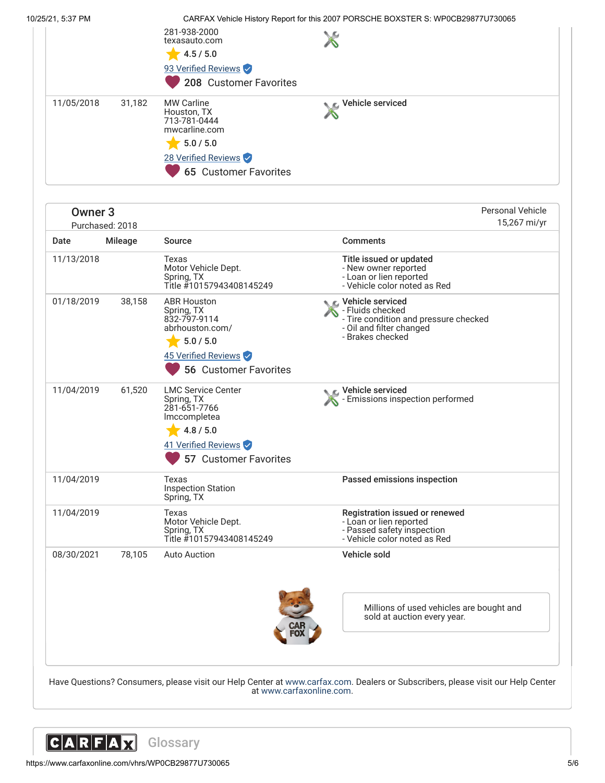10/25/21, 5:37 PM CARFAX Vehicle History Report for this 2007 PORSCHE BOXSTER S: WP0CB29877U730065

|            |        | 281-938-2000<br>texasauto.com<br>4.5 / 5.0<br>93 Verified Reviews<br>208 Customer Favorites                                           |                            |
|------------|--------|---------------------------------------------------------------------------------------------------------------------------------------|----------------------------|
| 11/05/2018 | 31,182 | <b>MW Carline</b><br>Houston, TX<br>713-781-0444<br>mwcarline.com<br>5.0 / 5.0<br>28 Verified Reviews<br><b>65 Customer Favorites</b> | <b>NE</b> Vehicle serviced |

| <b>Owner 3</b> | Purchased: 2018 |                                                                                                                                         |                                                                                                                               | <b>Personal Vehicle</b><br>15,267 mi/yr |
|----------------|-----------------|-----------------------------------------------------------------------------------------------------------------------------------------|-------------------------------------------------------------------------------------------------------------------------------|-----------------------------------------|
| Date           | Mileage         | Source                                                                                                                                  | <b>Comments</b>                                                                                                               |                                         |
| 11/13/2018     |                 | Texas<br>Motor Vehicle Dept.<br>Spring, TX<br>Title #10157943408145249                                                                  | Title issued or updated<br>- New owner reported<br>- Loan or lien reported<br>- Vehicle color noted as Red                    |                                         |
| 01/18/2019     | 38,158          | <b>ABR Houston</b><br>Spring, TX<br>832-797-9114<br>abrhouston.com/<br>5.0 / 5.0<br>45 Verified Reviews<br><b>56 Customer Favorites</b> | Vehicle serviced<br>- Fluids checked<br>- Tire condition and pressure checked<br>- Oil and filter changed<br>- Brakes checked |                                         |
| 11/04/2019     | 61,520          | <b>LMC Service Center</b><br>Spring, TX<br>281-651-7766<br>Imccompletea<br>4.8 / 5.0<br>41 Verified Reviews<br>57 Customer Favorites    | C Vehicle serviced<br>Emissions inspection performed                                                                          |                                         |
| 11/04/2019     |                 | Texas<br><b>Inspection Station</b><br>Spring, TX                                                                                        | Passed emissions inspection                                                                                                   |                                         |
| 11/04/2019     |                 | Texas<br>Motor Vehicle Dept.<br>Spring, TX<br>Title #10157943408145249                                                                  | Registration issued or renewed<br>- Loan or lien reported<br>- Passed safety inspection<br>- Vehicle color noted as Red       |                                         |
| 08/30/2021     | 78,105          | <b>Auto Auction</b>                                                                                                                     | Vehicle sold                                                                                                                  |                                         |
|                |                 |                                                                                                                                         | Millions of used vehicles are bought and<br>sold at auction every year.                                                       |                                         |
|                |                 | Have Questions? Consumers, please visit our Help Center at www.carfax.com. Dealers or Subscribers, please visit our Help Center         |                                                                                                                               |                                         |

at [www.carfaxonline.com.](http://www.carfaxonline.com/)